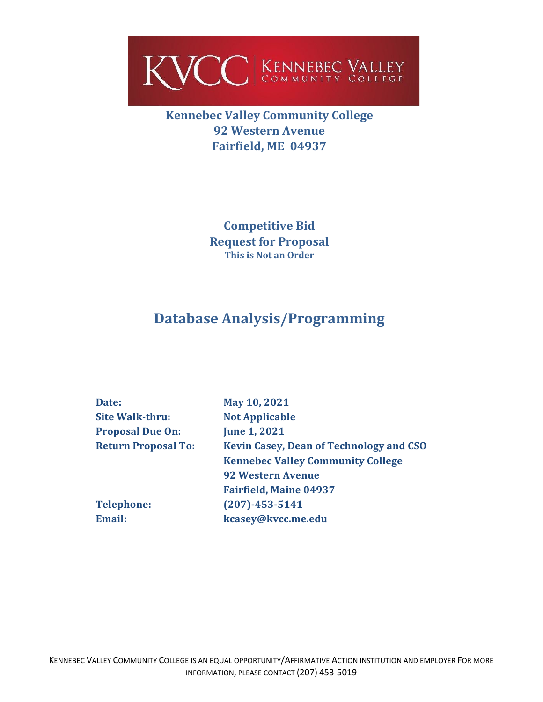

**Kennebec Valley Community College 92 Western Avenue Fairfield, ME 04937**

> **Competitive Bid Request for Proposal This is Not an Order**

# **Database Analysis/Programming**

| Date:                      | May 10, 2021                                   |
|----------------------------|------------------------------------------------|
| <b>Site Walk-thru:</b>     | <b>Not Applicable</b>                          |
| <b>Proposal Due On:</b>    | <b>June 1, 2021</b>                            |
| <b>Return Proposal To:</b> | <b>Kevin Casey, Dean of Technology and CSO</b> |
|                            | <b>Kennebec Valley Community College</b>       |
|                            | <b>92 Western Avenue</b>                       |
|                            | <b>Fairfield, Maine 04937</b>                  |
| <b>Telephone:</b>          | $(207) - 453 - 5141$                           |
| <b>Email:</b>              | kcasey@kvcc.me.edu                             |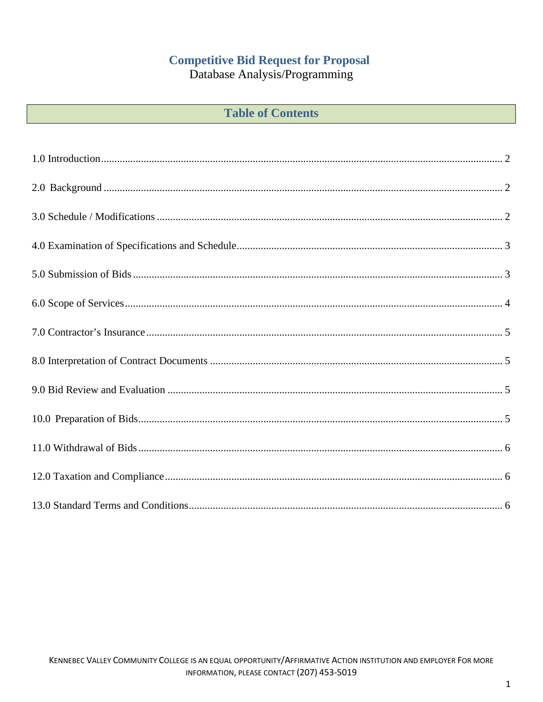## **Competitive Bid Request for Proposal**

Database Analysis/Programming

| <b>Table of Contents</b> |  |
|--------------------------|--|
|--------------------------|--|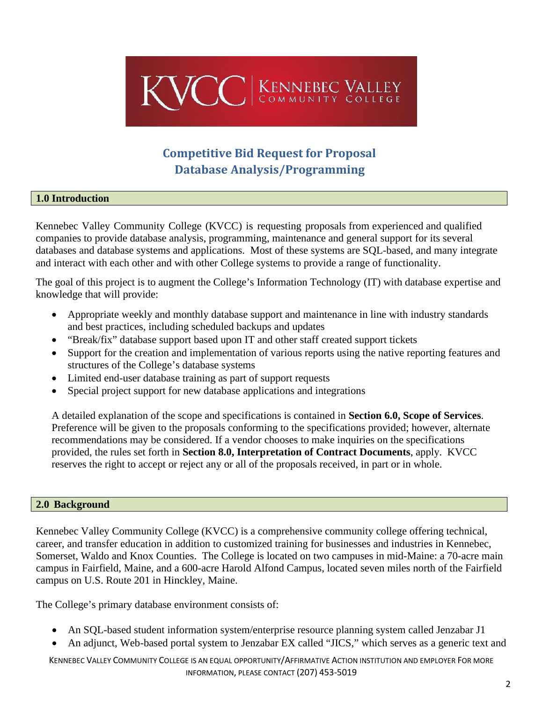

## **Competitive Bid Request for Proposal Database Analysis/Programming**

#### <span id="page-2-0"></span>**1.0 Introduction**

Kennebec Valley Community College (KVCC) is requesting proposals from experienced and qualified companies to provide database analysis, programming, maintenance and general support for its several databases and database systems and applications. Most of these systems are SQL-based, and many integrate and interact with each other and with other College systems to provide a range of functionality.

The goal of this project is to augment the College's Information Technology (IT) with database expertise and knowledge that will provide:

- Appropriate weekly and monthly database support and maintenance in line with industry standards and best practices, including scheduled backups and updates
- "Break/fix" database support based upon IT and other staff created support tickets
- Support for the creation and implementation of various reports using the native reporting features and structures of the College's database systems
- Limited end-user database training as part of support requests
- Special project support for new database applications and integrations

A detailed explanation of the scope and specifications is contained in **Section 6.0, Scope of Services**. Preference will be given to the proposals conforming to the specifications provided; however, alternate recommendations may be considered. If a vendor chooses to make inquiries on the specifications provided, the rules set forth in **Section 8.0, Interpretation of Contract Documents**, apply. KVCC reserves the right to accept or reject any or all of the proposals received, in part or in whole.

#### <span id="page-2-1"></span>**2.0 Background**

<span id="page-2-2"></span>Kennebec Valley Community College (KVCC) is a comprehensive community college offering technical, career, and transfer education in addition to customized training for businesses and industries in Kennebec, Somerset, Waldo and Knox Counties. The College is located on two campuses in mid-Maine: a 70-acre main campus in Fairfield, Maine, and a 600-acre Harold Alfond Campus, located seven miles north of the Fairfield campus on U.S. Route 201 in Hinckley, Maine.

The College's primary database environment consists of:

- An SQL-based student information system/enterprise resource planning system called Jenzabar J1
- An adjunct, Web-based portal system to Jenzabar EX called "JICS," which serves as a generic text and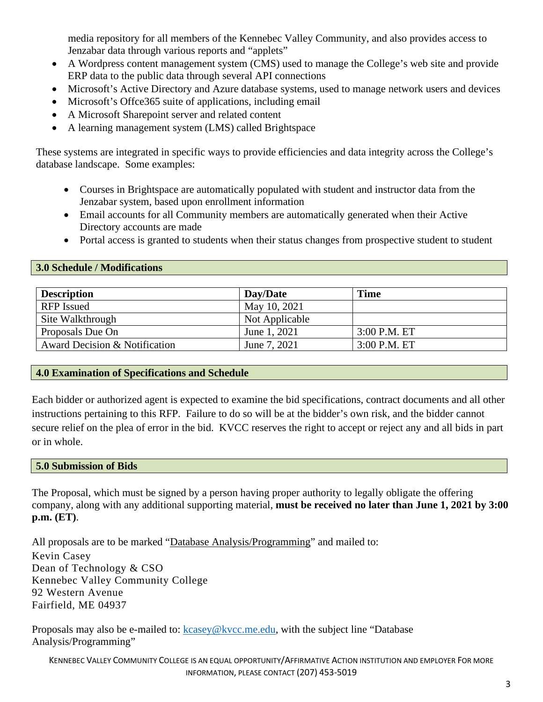media repository for all members of the Kennebec Valley Community, and also provides access to Jenzabar data through various reports and "applets"

- A Wordpress content management system (CMS) used to manage the College's web site and provide ERP data to the public data through several API connections
- Microsoft's Active Directory and Azure database systems, used to manage network users and devices
- Microsoft's Offce365 suite of applications, including email
- A Microsoft Sharepoint server and related content
- A learning management system (LMS) called Brightspace

These systems are integrated in specific ways to provide efficiencies and data integrity across the College's database landscape. Some examples:

- Courses in Brightspace are automatically populated with student and instructor data from the Jenzabar system, based upon enrollment information
- Email accounts for all Community members are automatically generated when their Active Directory accounts are made
- Portal access is granted to students when their status changes from prospective student to student

#### **3.0 Schedule / Modifications**

| <b>Description</b>            | Day/Date       | <b>Time</b>    |
|-------------------------------|----------------|----------------|
| <b>RFP</b> Issued             | May 10, 2021   |                |
| Site Walkthrough              | Not Applicable |                |
| Proposals Due On              | June 1, 2021   | $3:00$ P.M. ET |
| Award Decision & Notification | June 7, 2021   | $3:00$ P.M. ET |

## <span id="page-3-0"></span>**4.0 Examination of Specifications and Schedule**

Each bidder or authorized agent is expected to examine the bid specifications, contract documents and all other instructions pertaining to this RFP. Failure to do so will be at the bidder's own risk, and the bidder cannot secure relief on the plea of error in the bid. KVCC reserves the right to accept or reject any and all bids in part or in whole.

#### <span id="page-3-1"></span>**5.0 Submission of Bids**

The Proposal, which must be signed by a person having proper authority to legally obligate the offering company, along with any additional supporting material, **must be received no later than June 1, 2021 by 3:00 p.m. (ET)**.

All proposals are to be marked "Database Analysis/Programming" and mailed to:

Kevin Casey Dean of Technology & CSO Kennebec Valley Community College 92 Western Avenue Fairfield, ME 04937

Proposals may also be e-mailed to: [kcasey@kvcc.me.edu,](mailto:kcasey@kvcc.me.edu) with the subject line "Database" Analysis/Programming"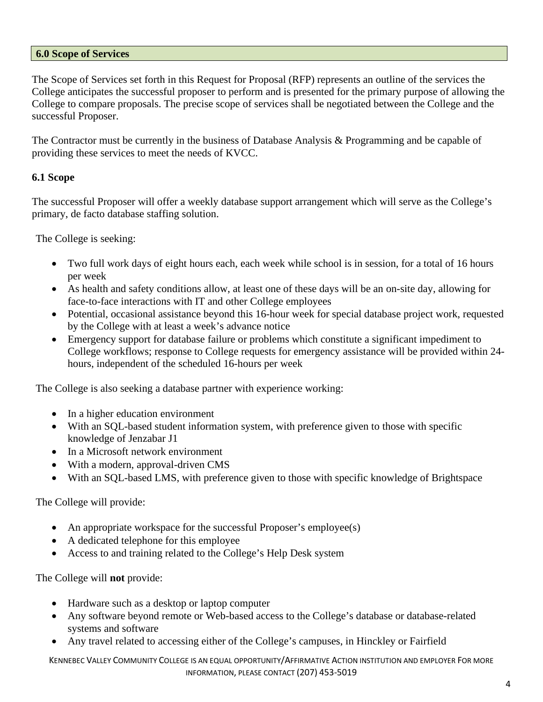#### <span id="page-4-0"></span>**6.0 Scope of Services**

The Scope of Services set forth in this Request for Proposal (RFP) represents an outline of the services the College anticipates the successful proposer to perform and is presented for the primary purpose of allowing the College to compare proposals. The precise scope of services shall be negotiated between the College and the successful Proposer.

The Contractor must be currently in the business of Database Analysis & Programming and be capable of providing these services to meet the needs of KVCC.

## **6.1 Scope**

The successful Proposer will offer a weekly database support arrangement which will serve as the College's primary, de facto database staffing solution.

The College is seeking:

- Two full work days of eight hours each, each week while school is in session, for a total of 16 hours per week
- As health and safety conditions allow, at least one of these days will be an on-site day, allowing for face-to-face interactions with IT and other College employees
- Potential, occasional assistance beyond this 16-hour week for special database project work, requested by the College with at least a week's advance notice
- Emergency support for database failure or problems which constitute a significant impediment to College workflows; response to College requests for emergency assistance will be provided within 24 hours, independent of the scheduled 16-hours per week

The College is also seeking a database partner with experience working:

- In a higher education environment
- With an SQL-based student information system, with preference given to those with specific knowledge of Jenzabar J1
- In a Microsoft network environment
- With a modern, approval-driven CMS
- With an SQL-based LMS, with preference given to those with specific knowledge of Brightspace

The College will provide:

- An appropriate workspace for the successful Proposer's employee(s)
- A dedicated telephone for this employee
- Access to and training related to the College's Help Desk system

The College will **not** provide:

- Hardware such as a desktop or laptop computer
- Any software beyond remote or Web-based access to the College's database or database-related systems and software
- Any travel related to accessing either of the College's campuses, in Hinckley or Fairfield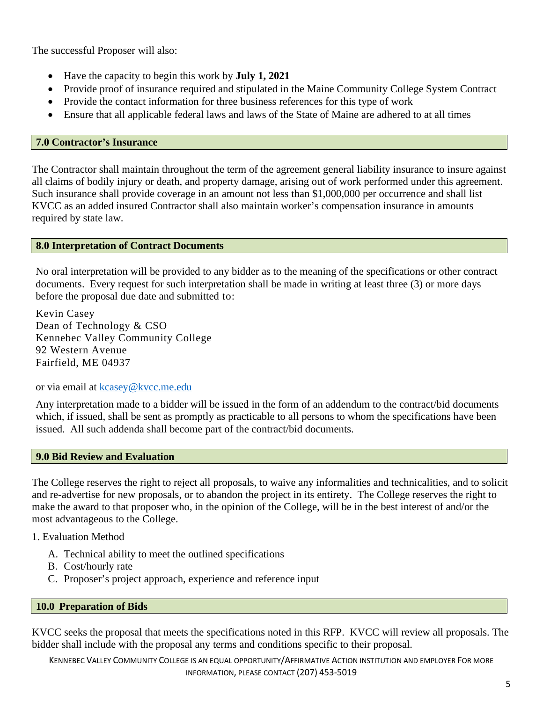The successful Proposer will also:

- Have the capacity to begin this work by **July 1, 2021**
- Provide proof of insurance required and stipulated in the Maine Community College System Contract
- Provide the contact information for three business references for this type of work
- Ensure that all applicable federal laws and laws of the State of Maine are adhered to at all times

### <span id="page-5-0"></span>**7.0 Contractor's Insurance**

<span id="page-5-1"></span>The Contractor shall maintain throughout the term of the agreement general liability insurance to insure against all claims of bodily injury or death, and property damage, arising out of work performed under this agreement. Such insurance shall provide coverage in an amount not less than \$1,000,000 per occurrence and shall list KVCC as an added insured Contractor shall also maintain worker's compensation insurance in amounts required by state law.

#### **8.0 Interpretation of Contract Documents**

No oral interpretation will be provided to any bidder as to the meaning of the specifications or other contract documents. Every request for such interpretation shall be made in writing at least three (3) or more days before the proposal due date and submitted to:

Kevin Casey Dean of Technology & CSO Kennebec Valley Community College 92 Western Avenue Fairfield, ME 04937

or via email at [kcasey@kvcc.me.edu](mailto:kcasey@kvcc.me.edu)

Any interpretation made to a bidder will be issued in the form of an addendum to the contract/bid documents which, if issued, shall be sent as promptly as practicable to all persons to whom the specifications have been issued. All such addenda shall become part of the contract/bid documents.

#### <span id="page-5-2"></span>**9.0 Bid Review and Evaluation**

The College reserves the right to reject all proposals, to waive any informalities and technicalities, and to solicit and re-advertise for new proposals, or to abandon the project in its entirety. The College reserves the right to make the award to that proposer who, in the opinion of the College, will be in the best interest of and/or the most advantageous to the College.

1. Evaluation Method

- A. Technical ability to meet the outlined specifications
- B. Cost/hourly rate
- C. Proposer's project approach, experience and reference input

## <span id="page-5-3"></span>**10.0 Preparation of Bids**

KVCC seeks the proposal that meets the specifications noted in this RFP. KVCC will review all proposals. The bidder shall include with the proposal any terms and conditions specific to their proposal.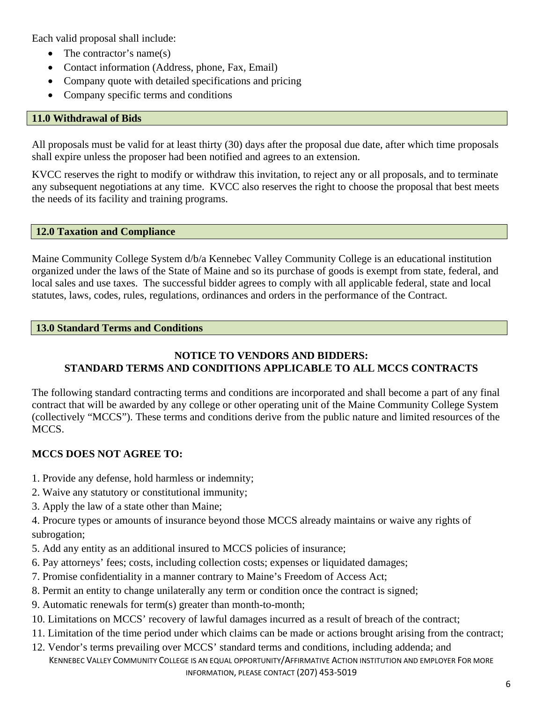Each valid proposal shall include:

- The contractor's name(s)
- Contact information (Address, phone, Fax, Email)
- Company quote with detailed specifications and pricing
- Company specific terms and conditions

### <span id="page-6-0"></span>**11.0 Withdrawal of Bids**

All proposals must be valid for at least thirty (30) days after the proposal due date, after which time proposals shall expire unless the proposer had been notified and agrees to an extension.

KVCC reserves the right to modify or withdraw this invitation, to reject any or all proposals, and to terminate any subsequent negotiations at any time. KVCC also reserves the right to choose the proposal that best meets the needs of its facility and training programs.

#### <span id="page-6-1"></span>**12.0 Taxation and Compliance**

Maine Community College System d/b/a Kennebec Valley Community College is an educational institution organized under the laws of the State of Maine and so its purchase of goods is exempt from state, federal, and local sales and use taxes. The successful bidder agrees to comply with all applicable federal, state and local statutes, laws, codes, rules, regulations, ordinances and orders in the performance of the Contract.

#### <span id="page-6-2"></span>**13.0 Standard Terms and Conditions**

## **NOTICE TO VENDORS AND BIDDERS: STANDARD TERMS AND CONDITIONS APPLICABLE TO ALL MCCS CONTRACTS**

The following standard contracting terms and conditions are incorporated and shall become a part of any final contract that will be awarded by any college or other operating unit of the Maine Community College System (collectively "MCCS"). These terms and conditions derive from the public nature and limited resources of the MCCS.

## **MCCS DOES NOT AGREE TO:**

- 1. Provide any defense, hold harmless or indemnity;
- 2. Waive any statutory or constitutional immunity;
- 3. Apply the law of a state other than Maine;

4. Procure types or amounts of insurance beyond those MCCS already maintains or waive any rights of subrogation;

- 5. Add any entity as an additional insured to MCCS policies of insurance;
- 6. Pay attorneys' fees; costs, including collection costs; expenses or liquidated damages;
- 7. Promise confidentiality in a manner contrary to Maine's Freedom of Access Act;
- 8. Permit an entity to change unilaterally any term or condition once the contract is signed;
- 9. Automatic renewals for term(s) greater than month-to-month;
- 10. Limitations on MCCS' recovery of lawful damages incurred as a result of breach of the contract;
- 11. Limitation of the time period under which claims can be made or actions brought arising from the contract;
- KENNEBEC VALLEY COMMUNITY COLLEGE IS AN EQUAL OPPORTUNITY/AFFIRMATIVE ACTION INSTITUTION AND EMPLOYER FOR MORE INFORMATION, PLEASE CONTACT (207) 453-5019 12. Vendor's terms prevailing over MCCS' standard terms and conditions, including addenda; and